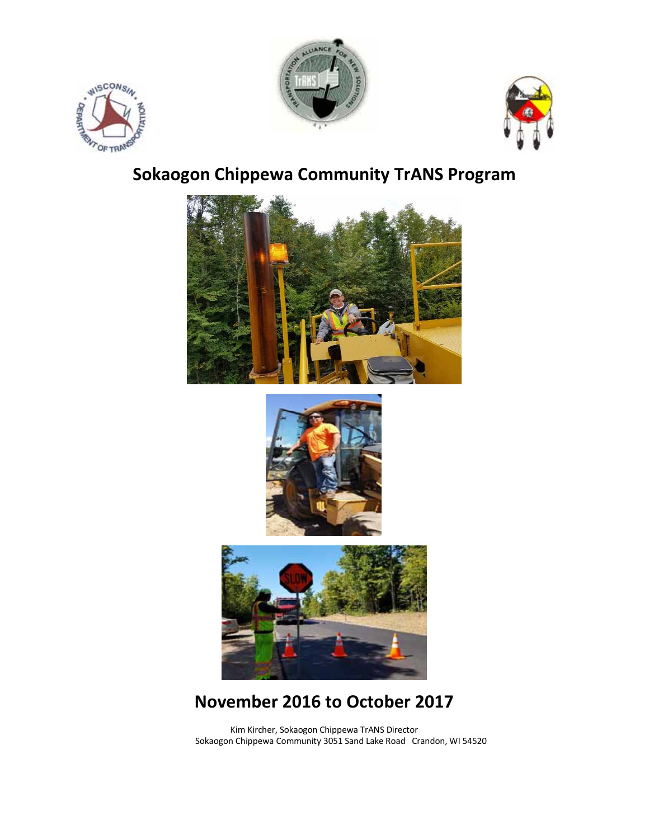





# **Sokaogon Chippewa Community TrANS Program**







# **November 2016 to October 2017**

Kim Kircher, Sokaogon Chippewa TrANS Director Sokaogon Chippewa Community 3051 Sand Lake Road Crandon, WI 54520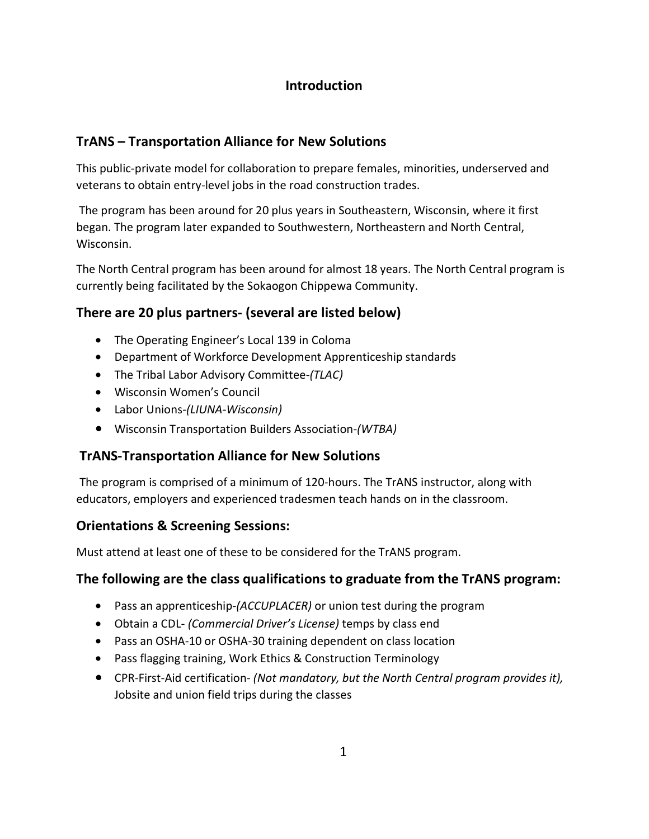# **Introduction**

# **TrANS – Transportation Alliance for New Solutions**

This public-private model for collaboration to prepare females, minorities, underserved and veterans to obtain entry-level jobs in the road construction trades.

 The program has been around for 20 plus years in Southeastern, Wisconsin, where it first began. The program later expanded to Southwestern, Northeastern and North Central, Wisconsin.

The North Central program has been around for almost 18 years. The North Central program is currently being facilitated by the Sokaogon Chippewa Community.

# **There are 20 plus partners- (several are listed below)**

- The Operating Engineer's Local 139 in Coloma
- Department of Workforce Development Apprenticeship standards
- The Tribal Labor Advisory Committee-*(TLAC)*
- Wisconsin Women's Council
- Labor Unions-*(LIUNA-Wisconsin)*
- Wisconsin Transportation Builders Association-*(WTBA)*

# **TrANS-Transportation Alliance for New Solutions**

The program is comprised of a minimum of 120-hours. The TrANS instructor, along with educators, employers and experienced tradesmen teach hands on in the classroom.

# **Orientations & Screening Sessions:**

Must attend at least one of these to be considered for the TrANS program.

# **The following are the class qualifications to graduate from the TrANS program:**

- Pass an apprenticeship-*(ACCUPLACER)* or union test during the program
- Obtain a CDL- *(Commercial Driver's License)* temps by class end
- Pass an OSHA-10 or OSHA-30 training dependent on class location
- Pass flagging training, Work Ethics & Construction Terminology
- CPR-First-Aid certification- *(Not mandatory, but the North Central program provides it),* Jobsite and union field trips during the classes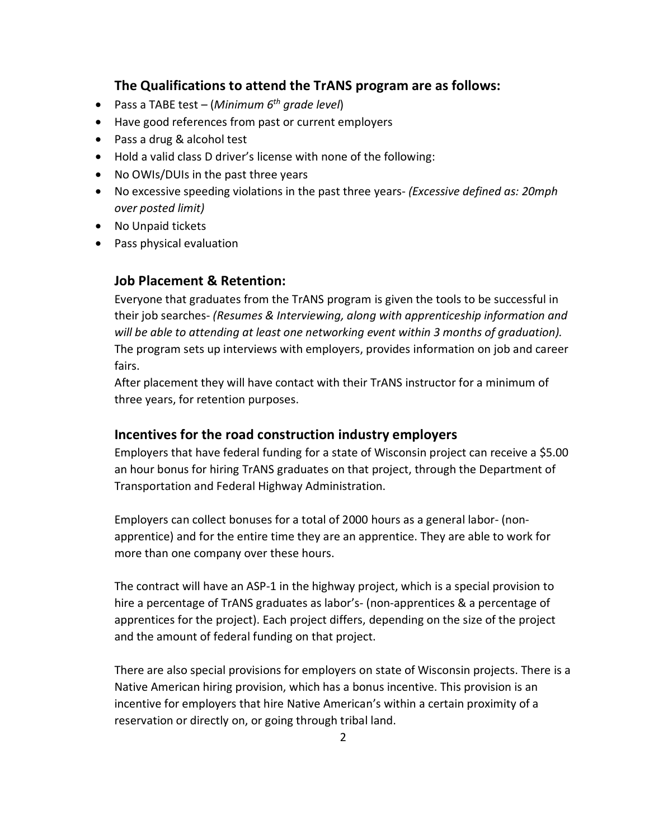#### **The Qualifications to attend the TrANS program are as follows:**

- Pass a TABE test (*Minimum 6th grade level*)
- Have good references from past or current employers
- Pass a drug & alcohol test
- Hold a valid class D driver's license with none of the following:
- No OWIs/DUIs in the past three years
- No excessive speeding violations in the past three years- *(Excessive defined as: 20mph over posted limit)*
- No Unpaid tickets
- Pass physical evaluation

#### **Job Placement & Retention:**

Everyone that graduates from the TrANS program is given the tools to be successful in their job searches- *(Resumes & Interviewing, along with apprenticeship information and will be able to attending at least one networking event within 3 months of graduation).* The program sets up interviews with employers, provides information on job and career fairs.

After placement they will have contact with their TrANS instructor for a minimum of three years, for retention purposes.

#### **Incentives for the road construction industry employers**

Employers that have federal funding for a state of Wisconsin project can receive a \$5.00 an hour bonus for hiring TrANS graduates on that project, through the Department of Transportation and Federal Highway Administration.

Employers can collect bonuses for a total of 2000 hours as a general labor- (nonapprentice) and for the entire time they are an apprentice. They are able to work for more than one company over these hours.

The contract will have an ASP-1 in the highway project, which is a special provision to hire a percentage of TrANS graduates as labor's- (non-apprentices & a percentage of apprentices for the project). Each project differs, depending on the size of the project and the amount of federal funding on that project.

There are also special provisions for employers on state of Wisconsin projects. There is a Native American hiring provision, which has a bonus incentive. This provision is an incentive for employers that hire Native American's within a certain proximity of a reservation or directly on, or going through tribal land.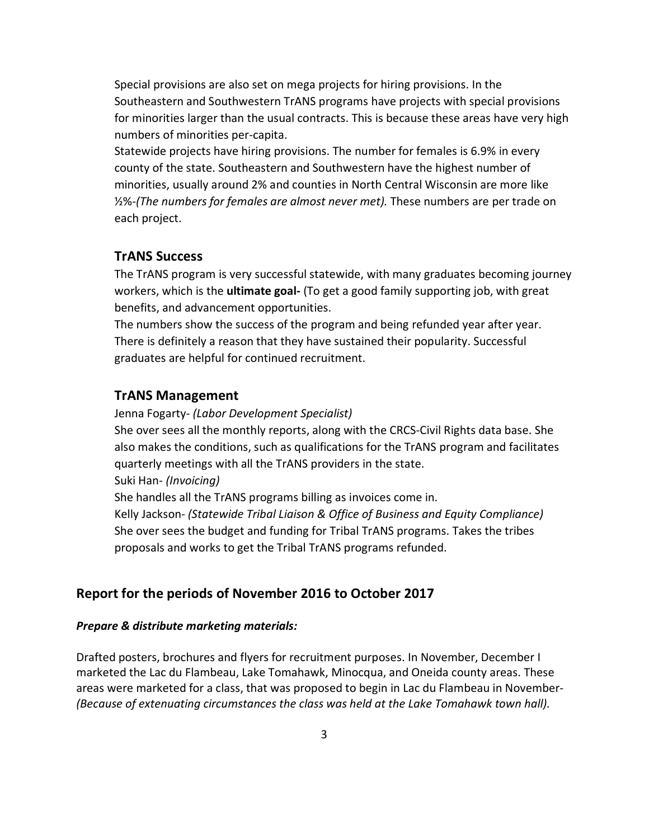Special provisions are also set on mega projects for hiring provisions. In the Southeastern and Southwestern TrANS programs have projects with special provisions for minorities larger than the usual contracts. This is because these areas have very high numbers of minorities per-capita.

Statewide projects have hiring provisions. The number for females is 6.9% in every county of the state. Southeastern and Southwestern have the highest number of minorities, usually around 2% and counties in North Central Wisconsin are more like ½%-*(The numbers for females are almost never met).* These numbers are per trade on each project.

#### **TrANS Success**

The TrANS program is very successful statewide, with many graduates becoming journey workers, which is the **ultimate goal-** (To get a good family supporting job, with great benefits, and advancement opportunities.

The numbers show the success of the program and being refunded year after year. There is definitely a reason that they have sustained their popularity. Successful graduates are helpful for continued recruitment.

#### **TrANS Management**

Jenna Fogarty- *(Labor Development Specialist)* 

She over sees all the monthly reports, along with the CRCS-Civil Rights data base. She also makes the conditions, such as qualifications for the TrANS program and facilitates quarterly meetings with all the TrANS providers in the state.

Suki Han- *(Invoicing)* 

She handles all the TrANS programs billing as invoices come in.

Kelly Jackson- *(Statewide Tribal Liaison & Office of Business and Equity Compliance)*  She over sees the budget and funding for Tribal TrANS programs. Takes the tribes proposals and works to get the Tribal TrANS programs refunded.

#### **Report for the periods of November 2016 to October 2017**

#### *Prepare & distribute marketing materials:*

Drafted posters, brochures and flyers for recruitment purposes. In November, December I marketed the Lac du Flambeau, Lake Tomahawk, Minocqua, and Oneida county areas. These areas were marketed for a class, that was proposed to begin in Lac du Flambeau in November- *(Because of extenuating circumstances the class was held at the Lake Tomahawk town hall).*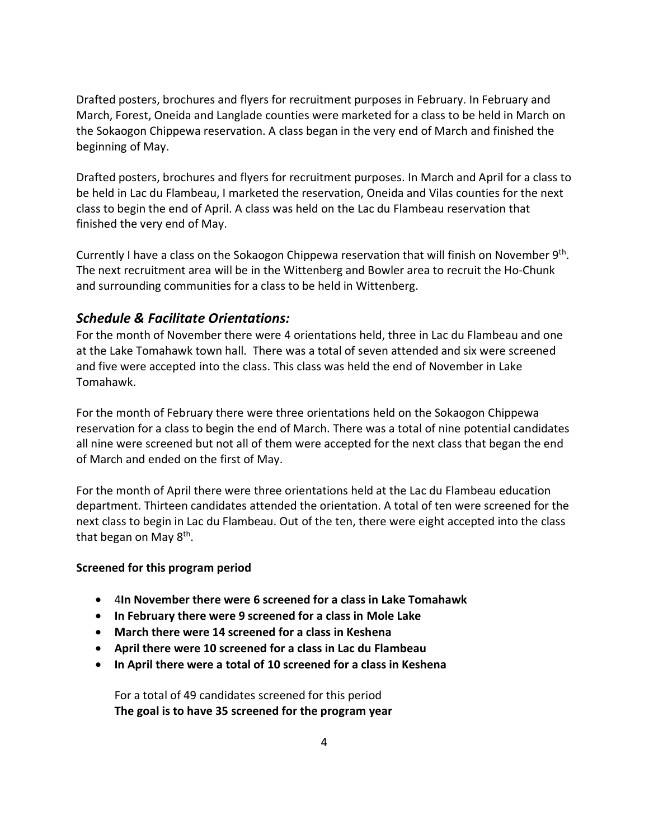Drafted posters, brochures and flyers for recruitment purposes in February. In February and March, Forest, Oneida and Langlade counties were marketed for a class to be held in March on the Sokaogon Chippewa reservation. A class began in the very end of March and finished the beginning of May.

Drafted posters, brochures and flyers for recruitment purposes. In March and April for a class to be held in Lac du Flambeau, I marketed the reservation, Oneida and Vilas counties for the next class to begin the end of April. A class was held on the Lac du Flambeau reservation that finished the very end of May.

Currently I have a class on the Sokaogon Chippewa reservation that will finish on November 9<sup>th</sup>. The next recruitment area will be in the Wittenberg and Bowler area to recruit the Ho-Chunk and surrounding communities for a class to be held in Wittenberg.

## *Schedule & Facilitate Orientations:*

For the month of November there were 4 orientations held, three in Lac du Flambeau and one at the Lake Tomahawk town hall. There was a total of seven attended and six were screened and five were accepted into the class. This class was held the end of November in Lake Tomahawk.

For the month of February there were three orientations held on the Sokaogon Chippewa reservation for a class to begin the end of March. There was a total of nine potential candidates all nine were screened but not all of them were accepted for the next class that began the end of March and ended on the first of May.

For the month of April there were three orientations held at the Lac du Flambeau education department. Thirteen candidates attended the orientation. A total of ten were screened for the next class to begin in Lac du Flambeau. Out of the ten, there were eight accepted into the class that began on May 8th.

#### **Screened for this program period**

- 4**In November there were 6 screened for a class in Lake Tomahawk**
- **In February there were 9 screened for a class in Mole Lake**
- **March there were 14 screened for a class in Keshena**
- **April there were 10 screened for a class in Lac du Flambeau**
- **In April there were a total of 10 screened for a class in Keshena**

For a total of 49 candidates screened for this period **The goal is to have 35 screened for the program year**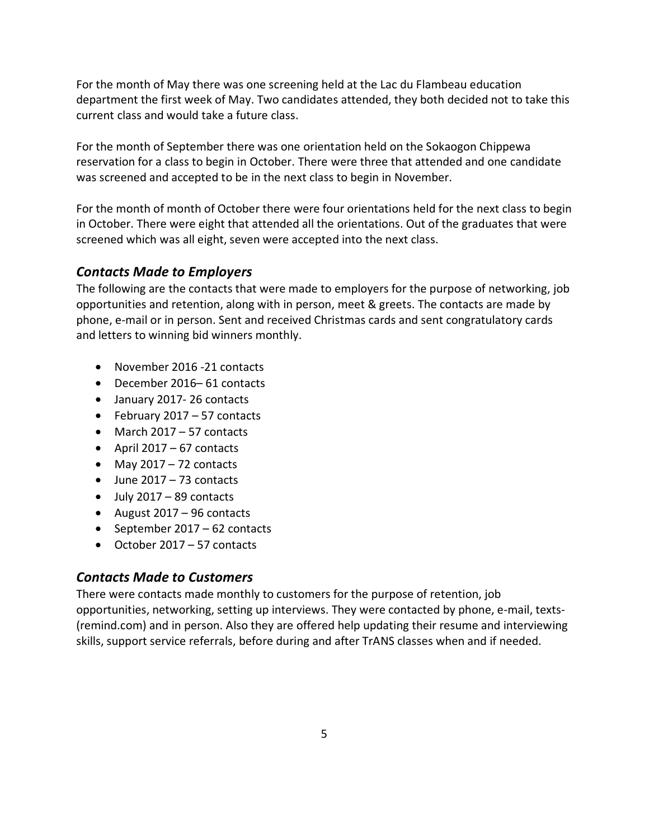For the month of May there was one screening held at the Lac du Flambeau education department the first week of May. Two candidates attended, they both decided not to take this current class and would take a future class.

For the month of September there was one orientation held on the Sokaogon Chippewa reservation for a class to begin in October. There were three that attended and one candidate was screened and accepted to be in the next class to begin in November.

For the month of month of October there were four orientations held for the next class to begin in October. There were eight that attended all the orientations. Out of the graduates that were screened which was all eight, seven were accepted into the next class.

# *Contacts Made to Employers*

The following are the contacts that were made to employers for the purpose of networking, job opportunities and retention, along with in person, meet & greets. The contacts are made by phone, e-mail or in person. Sent and received Christmas cards and sent congratulatory cards and letters to winning bid winners monthly.

- November 2016 -21 contacts
- December 2016– 61 contacts
- January 2017- 26 contacts
- February 2017 57 contacts
- March 2017 57 contacts
- April 2017 67 contacts
- May  $2017 72$  contacts
- June 2017 73 contacts
- $\bullet$  July 2017 89 contacts
- August 2017 96 contacts
- September 2017 62 contacts
- October 2017 57 contacts

# *Contacts Made to Customers*

There were contacts made monthly to customers for the purpose of retention, job opportunities, networking, setting up interviews. They were contacted by phone, e-mail, texts- (remind.com) and in person. Also they are offered help updating their resume and interviewing skills, support service referrals, before during and after TrANS classes when and if needed.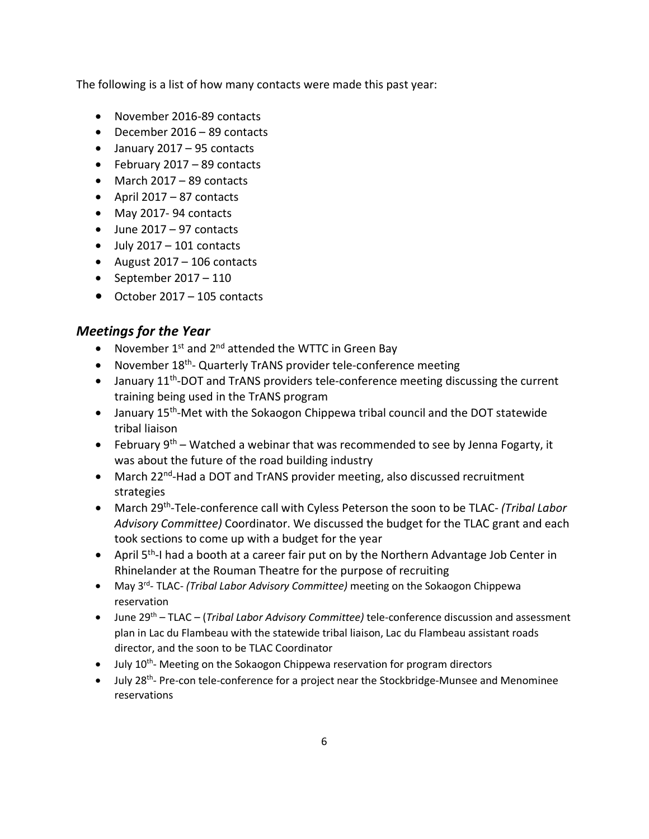The following is a list of how many contacts were made this past year:

- November 2016-89 contacts
- December 2016 89 contacts
- January 2017 95 contacts
- February 2017 89 contacts
- March 2017 89 contacts
- April 2017 87 contacts
- May 2017- 94 contacts
- June 2017 97 contacts
- $\bullet$  July 2017 101 contacts
- August 2017 106 contacts
- September  $2017 110$
- October 2017 105 contacts

## *Meetings for the Year*

- November  $1^{st}$  and  $2^{nd}$  attended the WTTC in Green Bay
- November 18<sup>th</sup>- Quarterly TrANS provider tele-conference meeting
- $\bullet$  January 11<sup>th</sup>-DOT and TrANS providers tele-conference meeting discussing the current training being used in the TrANS program
- January 15<sup>th</sup>-Met with the Sokaogon Chippewa tribal council and the DOT statewide tribal liaison
- February  $9<sup>th</sup>$  Watched a webinar that was recommended to see by Jenna Fogarty, it was about the future of the road building industry
- March 22<sup>nd</sup>-Had a DOT and TrANS provider meeting, also discussed recruitment strategies
- March 29th-Tele-conference call with Cyless Peterson the soon to be TLAC- *(Tribal Labor Advisory Committee)* Coordinator. We discussed the budget for the TLAC grant and each took sections to come up with a budget for the year
- April  $5<sup>th</sup>$ -I had a booth at a career fair put on by the Northern Advantage Job Center in Rhinelander at the Rouman Theatre for the purpose of recruiting
- May 3rd- TLAC- *(Tribal Labor Advisory Committee)* meeting on the Sokaogon Chippewa reservation
- June 29th TLAC (*Tribal Labor Advisory Committee)* tele-conference discussion and assessment plan in Lac du Flambeau with the statewide tribal liaison, Lac du Flambeau assistant roads director, and the soon to be TLAC Coordinator
- $\bullet$  July 10<sup>th</sup>- Meeting on the Sokaogon Chippewa reservation for program directors
- July 28<sup>th</sup>- Pre-con tele-conference for a project near the Stockbridge-Munsee and Menominee reservations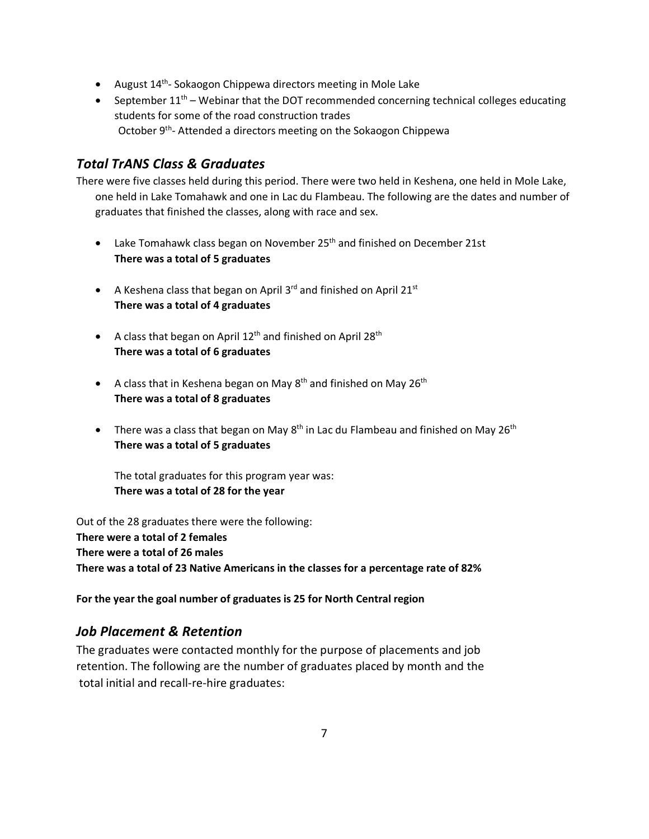- August  $14<sup>th</sup>$  Sokaogon Chippewa directors meeting in Mole Lake
- September  $11<sup>th</sup>$  Webinar that the DOT recommended concerning technical colleges educating students for some of the road construction trades October 9<sup>th</sup>- Attended a directors meeting on the Sokaogon Chippewa

## *Total TrANS Class & Graduates*

There were five classes held during this period. There were two held in Keshena, one held in Mole Lake, one held in Lake Tomahawk and one in Lac du Flambeau. The following are the dates and number of graduates that finished the classes, along with race and sex.

- Lake Tomahawk class began on November 25<sup>th</sup> and finished on December 21st **There was a total of 5 graduates**
- A Keshena class that began on April 3<sup>rd</sup> and finished on April 21<sup>st</sup> **There was a total of 4 graduates**
- A class that began on April 12<sup>th</sup> and finished on April 28<sup>th</sup> **There was a total of 6 graduates**
- A class that in Keshena began on May  $8<sup>th</sup>$  and finished on May  $26<sup>th</sup>$ **There was a total of 8 graduates**
- There was a class that began on May  $8^{th}$  in Lac du Flambeau and finished on May  $26^{th}$ **There was a total of 5 graduates**

The total graduates for this program year was: **There was a total of 28 for the year** 

Out of the 28 graduates there were the following: **There were a total of 2 females There were a total of 26 males There was a total of 23 Native Americans in the classes for a percentage rate of 82%** 

**For the year the goal number of graduates is 25 for North Central region**

# *Job Placement & Retention*

The graduates were contacted monthly for the purpose of placements and job retention. The following are the number of graduates placed by month and the total initial and recall-re-hire graduates: